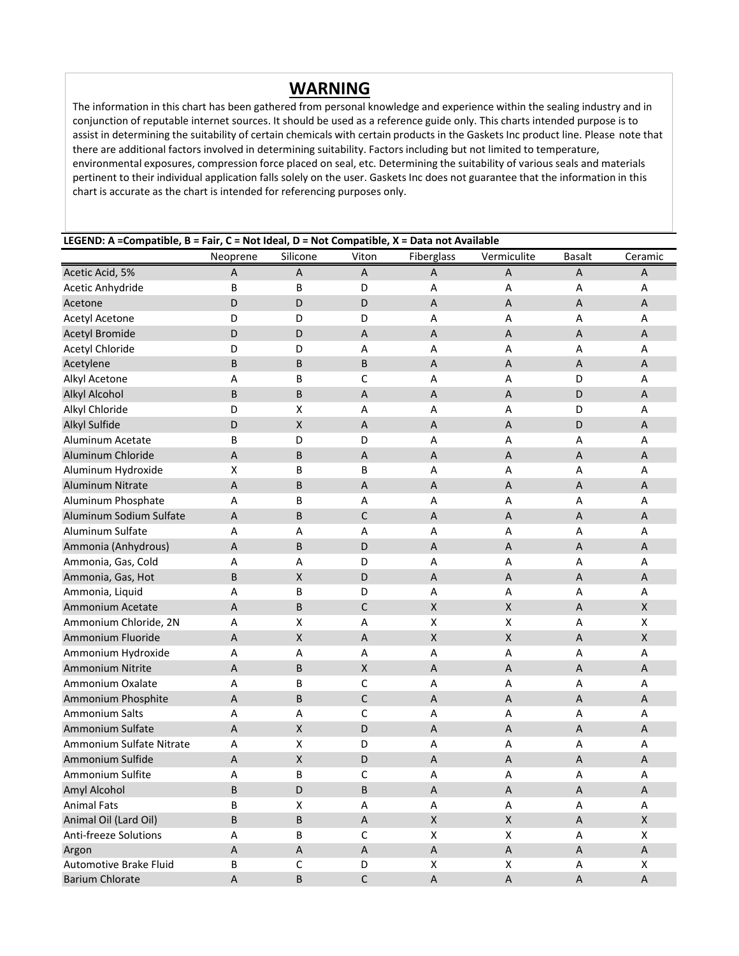## **WARNING**

The information in this chart has been gathered from personal knowledge and experience within the sealing industry and in conjunction of reputable internet sources. It should be used as a reference guide only. This charts intended purpose is to assist in determining the suitability of certain chemicals with certain products in the Gaskets Inc product line. Please note that there are additional factors involved in determining suitability. Factors including but not limited to temperature, environmental exposures, compression force placed on seal, etc. Determining the suitability of various seals and materials pertinent to their individual application falls solely on the user. Gaskets Inc does not guarantee that the information in this chart is accurate as the chart is intended for referencing purposes only.

## **LEGEND: A =Compatible, B = Fair, C = Not Ideal, D = Not Compatible, X = Data not Available**

|                              | Neoprene    | Silicone           | Viton                     | Fiberglass                | Vermiculite        | <b>Basalt</b>             | Ceramic                   |
|------------------------------|-------------|--------------------|---------------------------|---------------------------|--------------------|---------------------------|---------------------------|
| Acetic Acid, 5%              | A           | A                  | A                         | A                         | Α                  | A                         | A                         |
| Acetic Anhydride             | B           | B                  | D                         | Α                         | А                  | Α                         | Α                         |
| Acetone                      | D           | D                  | D                         | A                         | $\sf A$            | $\mathsf A$               | A                         |
| <b>Acetyl Acetone</b>        | D           | D                  | D                         | A                         | A                  | А                         | A                         |
| <b>Acetyl Bromide</b>        | D           | D                  | $\overline{A}$            | $\overline{A}$            | $\overline{A}$     | $\boldsymbol{\mathsf{A}}$ | $\boldsymbol{\mathsf{A}}$ |
| <b>Acetyl Chloride</b>       | D           | D                  | Α                         | Α                         | A                  | А                         | Α                         |
| Acetylene                    | B           | B                  | B                         | A                         | $\overline{A}$     | A                         | A                         |
| Alkyl Acetone                | Α           | В                  | C                         | A                         | A                  | D                         | Α                         |
| <b>Alkyl Alcohol</b>         | B           | B                  | $\overline{A}$            | A                         | A                  | D                         | $\sf A$                   |
| Alkyl Chloride               | D           | Χ                  | Α                         | Α                         | A                  | D                         | Α                         |
| Alkyl Sulfide                | D           | X                  | A                         | A                         | A                  | D                         | A                         |
| Aluminum Acetate             | В           | D                  | D                         | Α                         | Α                  | Α                         | Α                         |
| Aluminum Chloride            | A           | B                  | $\boldsymbol{\mathsf{A}}$ | $\mathsf A$               | A                  | $\mathsf A$               | $\boldsymbol{\mathsf{A}}$ |
| Aluminum Hydroxide           | Χ           | В                  | В                         | A                         | A                  | А                         | Α                         |
| Aluminum Nitrate             | $\sf A$     | B                  | $\overline{A}$            | $\overline{A}$            | $\overline{A}$     | $\boldsymbol{\mathsf{A}}$ | $\boldsymbol{\mathsf{A}}$ |
| Aluminum Phosphate           | Α           | В                  | Α                         | Α                         | A                  | А                         | Α                         |
| Aluminum Sodium Sulfate      | A           | B                  | C                         | A                         | A                  | A                         | A                         |
| Aluminum Sulfate             | A           | А                  | Α                         | A                         | A                  | Α                         | Α                         |
| Ammonia (Anhydrous)          | A           | B                  | D                         | A                         | A                  | $\mathsf A$               | $\sf A$                   |
| Ammonia, Gas, Cold           | Α           | А                  | D                         | Α                         | Α                  | А                         | Α                         |
| Ammonia, Gas, Hot            | B           | X                  | D                         | A                         | A                  | A                         | A                         |
| Ammonia, Liquid              | Α           | В                  | D                         | Α                         | Α                  | Α                         | Α                         |
| Ammonium Acetate             | A           | B                  | C                         | $\pmb{\mathsf{X}}$        | $\pmb{\times}$     | $\mathsf A$               | $\mathsf X$               |
| Ammonium Chloride, 2N        | А           | Χ                  | Α                         | Χ                         | Χ                  | Α                         | X                         |
| Ammonium Fluoride            | $\sf A$     | $\pmb{\mathsf{X}}$ | $\overline{A}$            | $\pmb{\mathsf{X}}$        | $\pmb{\mathsf{X}}$ | $\overline{A}$            | $\mathsf X$               |
| Ammonium Hydroxide           | Α           | А                  | A                         | Α                         | A                  | А                         | Α                         |
| Ammonium Nitrite             | A           | B                  | $\mathsf X$               | $\mathsf A$               | $\overline{A}$     | A                         | A                         |
| Ammonium Oxalate             | Α           | B                  | C                         | Α                         | A                  | А                         | Α                         |
| Ammonium Phosphite           | $\mathsf A$ | B                  | C                         | $\boldsymbol{\mathsf{A}}$ | $\sf A$            | А                         | $\sf A$                   |
| Ammonium Salts               | Α           | А                  | С                         | A                         | A                  | А                         | Α                         |
| Ammonium Sulfate             | A           | X                  | D                         | A                         | A                  | A                         | A                         |
| Ammonium Sulfate Nitrate     | Α           | Χ                  | D                         | Α                         | А                  | Α                         | Α                         |
| Ammonium Sulfide             | A           | $\pmb{\mathsf{X}}$ | D                         | A                         | A                  | $\mathsf A$               | $\boldsymbol{\mathsf{A}}$ |
| Ammonium Sulfite             | Α           | B                  | C                         | Α                         | Α                  | Α                         | А                         |
| Amyl Alcohol                 | B           | D                  | В                         | $\sf A$                   | Α                  | Α                         | Α                         |
| <b>Animal Fats</b>           | В           | X                  | A                         | Α                         | A                  | Α                         | A                         |
| Animal Oil (Lard Oil)        | B           | $\sf B$            | $\boldsymbol{\mathsf{A}}$ | $\pmb{\mathsf{X}}$        | $\mathsf X$        | $\mathsf A$               | $\mathsf X$               |
| <b>Anti-freeze Solutions</b> | Α           | В                  | $\mathsf{C}$              | X                         | X                  | Α                         | X                         |
| Argon                        | $\sf A$     | Α                  | $\boldsymbol{\mathsf{A}}$ | $\sf A$                   | $\sf A$            | A                         | $\mathsf A$               |
| Automotive Brake Fluid       | $\sf B$     | C                  | D                         | $\pmb{\mathsf{X}}$        | X                  | Α                         | X                         |
| <b>Barium Chlorate</b>       | $\sf A$     | $\sf B$            | $\mathsf C$               | $\sf A$                   | $\sf A$            | $\mathsf A$               | $\mathsf A$               |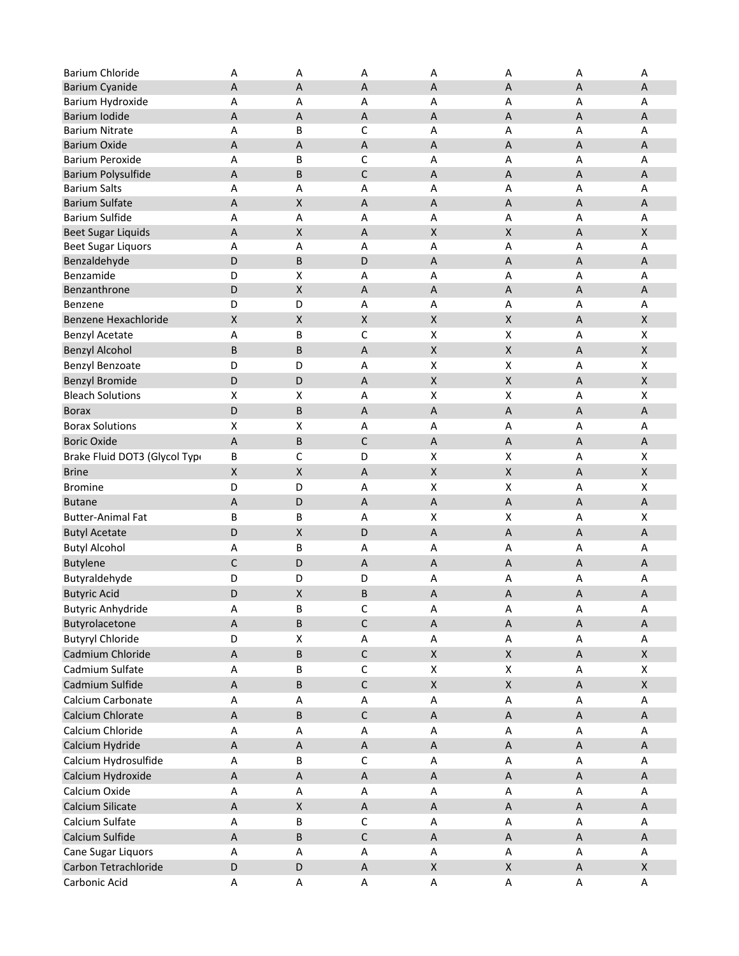| <b>Barium Chloride</b>        | Α                         | Α                  | Α                      | Α                         | Α                  | А       | Α                         |
|-------------------------------|---------------------------|--------------------|------------------------|---------------------------|--------------------|---------|---------------------------|
| <b>Barium Cyanide</b>         | $\mathsf A$               | $\overline{A}$     | A                      | $\sf A$                   | A                  | $\sf A$ | Α                         |
| Barium Hydroxide              | А                         | Α                  | A                      | A                         | A                  | A       | Α                         |
| Barium Iodide                 | $\boldsymbol{\mathsf{A}}$ | $\mathsf{A}$       | A                      | A                         | A                  | A       | A                         |
| <b>Barium Nitrate</b>         | Α                         | B                  | С                      | A                         | A                  | А       | Α                         |
| <b>Barium Oxide</b>           | $\mathsf A$               | $\mathsf{A}$       | $\sf A$                | A                         | A                  | A       | A                         |
| <b>Barium Peroxide</b>        | Α                         | B                  | С                      | А                         | А                  | А       | Α                         |
| Barium Polysulfide            | $\boldsymbol{\mathsf{A}}$ | $\sf B$            | $\mathsf C$            | A                         | A                  | A       | A                         |
| <b>Barium Salts</b>           | Α                         | Α                  | Α                      | Α                         | А                  | А       | Α                         |
| <b>Barium Sulfate</b>         | $\mathsf A$               | $\pmb{\times}$     | A                      | A                         | A                  | A       | A                         |
| <b>Barium Sulfide</b>         | Α                         | Α                  | Α                      | Α                         | А                  | А       | Α                         |
| <b>Beet Sugar Liquids</b>     | A                         | $\pmb{\times}$     | A                      | X                         | $\pmb{\mathsf{X}}$ | A       | $\pmb{\mathsf{X}}$        |
| Beet Sugar Liquors            | Α                         | Α                  | Α                      | A                         | А                  | А       | Α                         |
| Benzaldehyde                  | D                         | $\sf B$            | D                      | A                         | A                  | A       | A                         |
| Benzamide                     | D                         | X                  | Α                      | Α                         | А                  | А       | Α                         |
| Benzanthrone                  | D                         | $\pmb{\mathsf{X}}$ | A                      | A                         | A                  | A       | A                         |
| Benzene                       | D                         | D                  | Α                      | Α                         | А                  | А       | Α                         |
| Benzene Hexachloride          | X                         | $\pmb{\mathsf{X}}$ | $\pmb{\mathsf{X}}$     | $\boldsymbol{\mathsf{X}}$ | $\pmb{\mathsf{X}}$ | A       | $\pmb{\mathsf{X}}$        |
| <b>Benzyl Acetate</b>         | Α                         | B                  | $\mathsf C$            | X                         | Χ                  | Α       | X                         |
| <b>Benzyl Alcohol</b>         | B                         | B                  | A                      | X                         | $\pmb{\mathsf{X}}$ | Α       | X                         |
| Benzyl Benzoate               | D                         | D                  | Α                      | Χ                         | X                  | А       | X                         |
| <b>Benzyl Bromide</b>         | D                         | D                  | A                      | X                         | $\pmb{\mathsf{X}}$ | A       | $\pmb{\mathsf{X}}$        |
| <b>Bleach Solutions</b>       | X                         | X                  | Α                      | Χ                         | Χ                  | А       | X                         |
| <b>Borax</b>                  | D                         | $\sf B$            | $\mathsf A$            | $\overline{A}$            | $\sf A$            | $\sf A$ | $\boldsymbol{\mathsf{A}}$ |
| <b>Borax Solutions</b>        | X                         | X                  | А                      | А                         | А                  | Α       | Α                         |
| <b>Boric Oxide</b>            | A                         | $\sf B$            | C                      | A                         | А                  | A       | A                         |
| Brake Fluid DOT3 (Glycol Typi | B                         | C                  | D                      | Χ                         | Χ                  | Α       | X                         |
| <b>Brine</b>                  | $\mathsf X$               | $\pmb{\mathsf{X}}$ | Α                      | $\pmb{\times}$            | $\pmb{\mathsf{X}}$ | A       | $\pmb{\mathsf{X}}$        |
| <b>Bromine</b>                | D                         | D                  | А                      | X                         | X                  | Α       | X                         |
| <b>Butane</b>                 | A                         | D                  | A                      | A                         | А                  | A       | A                         |
| <b>Butter-Animal Fat</b>      | B                         | В                  | Α                      | X                         | X                  | А       | X                         |
| <b>Butyl Acetate</b>          | D                         | $\pmb{\mathsf{X}}$ | D                      | $\sf A$                   | A                  | A       | A                         |
| <b>Butyl Alcohol</b>          | Α                         | B                  | Α                      | Α                         | Α                  | А       | А                         |
| <b>Butylene</b>               | $\mathsf{C}$              | D                  | $\sf A$                | $\overline{A}$            | $\sf A$            | $\sf A$ | $\mathsf A$               |
| Butyraldehyde                 | D                         | D                  | D                      | А                         | А                  | Α       | Α                         |
| <b>Butyric Acid</b>           | D                         | $\pmb{\mathsf{X}}$ | B                      | Α                         | А                  | A       | Α                         |
| <b>Butyric Anhydride</b>      | Α                         | В                  | $\mathsf C$            | A                         | Α                  | Α       | A                         |
| Butyrolacetone                | $\boldsymbol{\mathsf{A}}$ | $\sf B$            | $\mathsf C$            | $\sf A$                   | $\sf A$            | $\sf A$ | A                         |
| <b>Butyryl Chloride</b>       | D                         | $\pmb{\mathsf{X}}$ | Α                      | Α                         | A                  | Α       | Α                         |
| Cadmium Chloride              | Α                         | $\sf B$            | $\mathsf C$            | $\mathsf{X}$              | $\pmb{\mathsf{X}}$ | A       | $\mathsf{X}$              |
| Cadmium Sulfate               | A                         | B                  | $\mathsf C$            | X                         | Χ                  | Α       | X                         |
| Cadmium Sulfide               | $\sf A$                   | $\sf B$            | $\mathsf C$            | $\mathsf X$               | $\pmb{\mathsf{X}}$ | $\sf A$ | $\mathsf X$               |
| Calcium Carbonate             | A                         | A                  | Α                      | A                         | Α                  | A       | A                         |
| Calcium Chlorate              | $\sf A$                   | $\sf B$            | $\mathsf C$            | $\mathsf A$               | $\sf A$            | $\sf A$ | $\sf A$                   |
| Calcium Chloride              | Α                         | Α                  | Α                      | Α                         | А                  | Α       | А                         |
|                               |                           |                    |                        |                           |                    |         |                           |
| Calcium Hydride               | $\mathsf A$               | $\sf A$            | $\sf A$<br>$\mathsf C$ | $\boldsymbol{\mathsf{A}}$ | $\sf A$            | $\sf A$ | Α                         |
| Calcium Hydrosulfide          | Α                         | B                  |                        | A                         | A                  | A       | Α                         |
| Calcium Hydroxide             | $\mathsf A$               | $\sf A$            | $\sf A$                | $\mathsf A$               | $\sf A$            | $\sf A$ | Α                         |
| Calcium Oxide                 | Α                         | Α                  | Α                      | Α                         | Α                  | Α       | Α                         |
| Calcium Silicate              | A                         | X                  | A                      | A                         | A                  | A       | A                         |
| Calcium Sulfate               | A                         | B                  | $\mathsf C$            | Α                         | А                  | Α       | Α                         |
| Calcium Sulfide               | $\mathsf{A}$              | $\sf B$            | $\mathsf C$            | $\mathsf{A}$              | $\sf A$            | $\sf A$ | A                         |
| Cane Sugar Liquors            | A                         | A                  | Α                      | A                         | Α                  | A       | Α                         |
| Carbon Tetrachloride          | D                         | D                  | $\sf A$                | $\pmb{\times}$            | $\pmb{\mathsf{X}}$ | $\sf A$ | $\mathsf{X}$              |
| Carbonic Acid                 | Α                         | Α                  | Α                      | A                         | A                  | Α       | Α                         |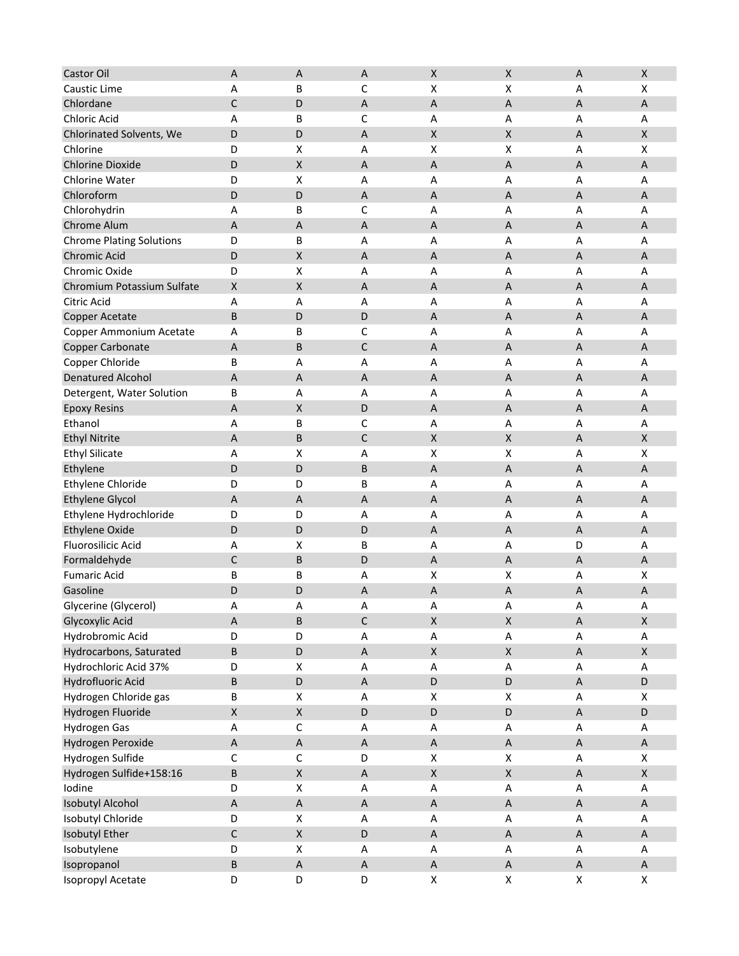| Castor Oil                      | A                  | $\overline{A}$            | A             | X                         | $\pmb{\mathsf{X}}$        | $\overline{A}$            | $\pmb{\mathsf{X}}$        |
|---------------------------------|--------------------|---------------------------|---------------|---------------------------|---------------------------|---------------------------|---------------------------|
| Caustic Lime                    | Α                  | В                         | C             | X                         | X                         | Α                         | X                         |
| Chlordane                       | C                  | D                         | Α             | A                         | A                         | A                         | Α                         |
| Chloric Acid                    | А                  | В                         | C             | А                         | Α                         | Α                         | Α                         |
| Chlorinated Solvents, We        | D                  | D                         | A             | Χ                         | $\pmb{\mathsf{X}}$        | A                         | X                         |
| Chlorine                        | D                  | X                         | Α             | Χ                         | X                         | Α                         | X                         |
| <b>Chlorine Dioxide</b>         | D                  | $\pmb{\times}$            | A             | $\mathsf A$               | $\boldsymbol{\mathsf{A}}$ | $\overline{A}$            | $\sf A$                   |
| Chlorine Water                  | D                  | X                         | Α             | Α                         | Α                         | Α                         | Α                         |
| Chloroform                      | D                  | D                         | Α             | А                         | A                         | $\overline{A}$            | A                         |
| Chlorohydrin                    | А                  | В                         | C             | Α                         | Α                         | Α                         | Α                         |
| Chrome Alum                     | A                  | $\overline{A}$            | A             | А                         | A                         | A                         | A                         |
| <b>Chrome Plating Solutions</b> | D                  | В                         | Α             | Α                         | Α                         | Α                         | Α                         |
| Chromic Acid                    | D                  | X                         | Α             | А                         | A                         | A                         | Α                         |
| Chromic Oxide                   | D                  | X                         | Α             | А                         | Α                         | Α                         | Α                         |
| Chromium Potassium Sulfate      | X                  | $\pmb{\mathsf{X}}$        | A             | Α                         | A                         | $\boldsymbol{\mathsf{A}}$ | A                         |
| Citric Acid                     | Α                  | A                         | Α             | Α                         | Α                         | Α                         | Α                         |
| Copper Acetate                  | B                  | D                         | D             | $\mathsf A$               | $\boldsymbol{\mathsf{A}}$ | $\overline{A}$            | $\boldsymbol{\mathsf{A}}$ |
| Copper Ammonium Acetate         | А                  | В                         | С             | Α                         | Α                         | Α                         | Α                         |
| Copper Carbonate                | A                  | B                         | $\mathsf C$   | А                         | A                         | $\overline{A}$            | A                         |
| Copper Chloride                 | В                  | A                         | Α             | Α                         | A                         | Α                         | Α                         |
| <b>Denatured Alcohol</b>        | А                  | A                         | A             | А                         | A                         | A                         | A                         |
| Detergent, Water Solution       | В                  | Α                         | Α             | Α                         | Α                         | Α                         | Α                         |
| <b>Epoxy Resins</b>             | Α                  | X                         | D             | А                         | A                         | A                         | Α                         |
| Ethanol                         | А                  | В                         | C             | А                         | Α                         | Α                         | Α                         |
| <b>Ethyl Nitrite</b>            | A                  | B                         | C             | Χ                         | $\pmb{\mathsf{X}}$        | A                         | X                         |
| <b>Ethyl Silicate</b>           | Α                  | X                         | Α             | Χ                         | X                         | Α                         | X                         |
| Ethylene                        | D                  | D                         | B             | $\mathsf A$               | $\boldsymbol{\mathsf{A}}$ | $\overline{A}$            | $\sf A$                   |
| Ethylene Chloride               | D                  | D                         | B             | Α                         | Α                         | Α                         | Α                         |
| <b>Ethylene Glycol</b>          | A                  | A                         | A             | A                         | A                         | $\overline{A}$            | A                         |
| Ethylene Hydrochloride          | D                  | D                         | Α             | Α                         | Α                         | Α                         | Α                         |
| <b>Ethylene Oxide</b>           | D                  | D                         | D             | $\boldsymbol{\mathsf{A}}$ | $\sf A$                   | $\sf A$                   | A                         |
| <b>Fluorosilicic Acid</b>       | А                  | X                         | B             | А                         | Α                         | D                         | Α                         |
| Formaldehyde                    | C                  | B                         | D             | A                         | A                         | A                         | Α                         |
| <b>Fumaric Acid</b>             | В                  | В                         | Α             | Χ                         | X                         | Α                         | X                         |
| Gasoline                        | D                  | D                         | Α             | А                         | $\boldsymbol{\mathsf{A}}$ | $\boldsymbol{\mathsf{A}}$ | A                         |
| Glycerine (Glycerol)            | А                  | Δ                         | Δ<br><u>n</u> | А                         | А                         | Δ<br>n                    | $\boldsymbol{\mathsf{A}}$ |
| Glycoxylic Acid                 | $\sf A$            | B                         | $\mathsf C$   | $\pmb{\mathsf{X}}$        | X                         | $\sf A$                   | $\mathsf X$               |
| Hydrobromic Acid                | D                  | D                         | Α             | А                         | A                         | Α                         | Α                         |
| Hydrocarbons, Saturated         | В                  | D                         | A             | X                         | $\pmb{\mathsf{X}}$        | $\boldsymbol{\mathsf{A}}$ | $\mathsf X$               |
| Hydrochloric Acid 37%           | D                  | $\pmb{\mathsf{X}}$        | Α             | A                         | A                         | $\mathsf A$               | Α                         |
| Hydrofluoric Acid               | В                  | D                         | $\sf A$       | D                         | $\mathsf D$               | $\mathsf A$               | D                         |
| Hydrogen Chloride gas           | В                  | $\pmb{\mathsf{X}}$        | Α             | $\pmb{\mathsf{X}}$        | $\pmb{\mathsf{X}}$        | Α                         | $\pmb{\mathsf{X}}$        |
| Hydrogen Fluoride               | $\pmb{\mathsf{X}}$ | $\mathsf X$               | D             | D                         | D                         | $\mathsf{A}$              | D                         |
| <b>Hydrogen Gas</b>             | Α                  | $\mathsf C$               | A             | Α                         | Α                         | $\boldsymbol{\mathsf{A}}$ | Α                         |
| Hydrogen Peroxide               | $\sf A$            | $\boldsymbol{\mathsf{A}}$ | $\sf A$       | $\sf A$                   | $\sf A$                   | $\sf A$                   | $\sf A$                   |
| Hydrogen Sulfide                | C                  | $\mathsf C$               | D             | X                         | $\pmb{\mathsf{X}}$        | $\mathsf A$               | $\pmb{\mathsf{X}}$        |
| Hydrogen Sulfide+158:16         | B                  | $\mathsf X$               | $\sf A$       | $\mathsf X$               | $\pmb{\mathsf{X}}$        | $\mathsf A$               | $\mathsf X$               |
| Iodine                          | D                  | X                         | Α             | Α                         | Α                         | Α                         | Α                         |
| <b>Isobutyl Alcohol</b>         | $\mathsf A$        | $\mathsf A$               | $\sf A$       | $\sf A$                   | $\sf A$                   | $\boldsymbol{\mathsf{A}}$ | $\sf A$                   |
| Isobutyl Chloride               | D                  | $\pmb{\mathsf{X}}$        | Α             | A                         | A                         | $\boldsymbol{\mathsf{A}}$ | Α                         |
| Isobutyl Ether                  | C                  | $\pmb{\mathsf{X}}$        | D             | $\sf A$                   | $\sf A$                   | $\mathsf A$               | $\sf A$                   |
| Isobutylene                     | D                  | X                         | A             | Α                         | Α                         | Α                         | Α                         |
| Isopropanol                     | B                  | $\boldsymbol{\mathsf{A}}$ | A             | A                         | $\mathsf A$               | A                         | A                         |
| Isopropyl Acetate               | D                  | D                         | D             | $\pmb{\mathsf{X}}$        | $\pmb{\mathsf{X}}$        | X                         | X                         |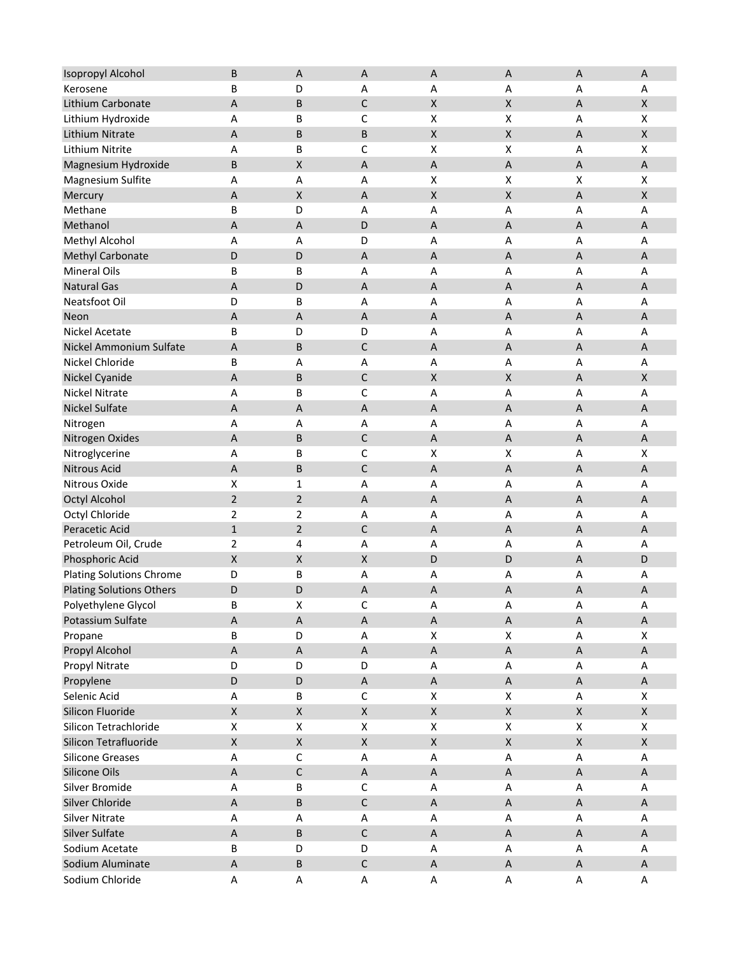| <b>Isopropyl Alcohol</b>        | B                  | $\overline{A}$            | A                  | A                  | A                         | $\overline{A}$            | A                         |
|---------------------------------|--------------------|---------------------------|--------------------|--------------------|---------------------------|---------------------------|---------------------------|
| Kerosene                        | B                  | D                         | Α                  | Α                  | Α                         | Α                         | Α                         |
| Lithium Carbonate               | A                  | B                         | C                  | Χ                  | X                         | A                         | X                         |
| Lithium Hydroxide               | А                  | B                         | C                  | X                  | X                         | A                         | $\pmb{\mathsf{X}}$        |
| Lithium Nitrate                 | А                  | B                         | B                  | $\pmb{\mathsf{X}}$ | $\pmb{\mathsf{X}}$        | $\sf A$                   | $\mathsf X$               |
| Lithium Nitrite                 | Α                  | B                         | C                  | Χ                  | X                         | Α                         | X                         |
| Magnesium Hydroxide             | B                  | $\pmb{\mathsf{X}}$        | A                  | $\mathsf A$        | $\boldsymbol{\mathsf{A}}$ | $\overline{A}$            | $\boldsymbol{\mathsf{A}}$ |
| Magnesium Sulfite               | А                  | Α                         | Α                  | Χ                  | $\pmb{\mathsf{X}}$        | X                         | $\pmb{\mathsf{X}}$        |
| Mercury                         | $\mathsf A$        | $\pmb{\mathsf{X}}$        | A                  | Χ                  | $\pmb{\mathsf{X}}$        | $\overline{A}$            | $\pmb{\mathsf{X}}$        |
| Methane                         | В                  | D                         | Α                  | Α                  | Α                         | Α                         | Α                         |
| Methanol                        | A                  | A                         | D                  | A                  | $\sf A$                   | $\overline{A}$            | A                         |
| Methyl Alcohol                  | А                  | Α                         | D                  | Α                  | Α                         | Α                         | Α                         |
| <b>Methyl Carbonate</b>         | D                  | D                         | A                  | А                  | A                         | A                         | A                         |
| <b>Mineral Oils</b>             | B                  | В                         | Α                  | Α                  | Α                         | A                         | Α                         |
| <b>Natural Gas</b>              | A                  | D                         | A                  | А                  | A                         | $\sf A$                   | $\sf A$                   |
| Neatsfoot Oil                   | D                  | B                         | Α                  | Α                  | Α                         | Α                         | Α                         |
| Neon                            | A                  | $\overline{A}$            | $\mathsf A$        | $\mathsf A$        | $\boldsymbol{\mathsf{A}}$ | $\overline{A}$            | $\boldsymbol{\mathsf{A}}$ |
| Nickel Acetate                  | В                  | D                         | D                  | Α                  | Α                         | Α                         | Α                         |
| Nickel Ammonium Sulfate         | A                  | B                         | $\mathsf C$        | A                  | $\boldsymbol{\mathsf{A}}$ | $\boldsymbol{\mathsf{A}}$ | A                         |
| Nickel Chloride                 | В                  | A                         | Α                  | Α                  | Α                         | Α                         | Α                         |
| Nickel Cyanide                  | $\mathsf A$        | B                         | $\mathsf C$        | Χ                  | $\pmb{\mathsf{X}}$        | $\overline{A}$            | X                         |
| <b>Nickel Nitrate</b>           | А                  | В                         | C                  | Α                  | Α                         | Α                         | Α                         |
| Nickel Sulfate                  | A                  | A                         | A                  | A                  | A                         | A                         | A                         |
| Nitrogen                        | А                  | Α                         | Α                  | Α                  | Α                         | Α                         | Α                         |
| Nitrogen Oxides                 | A                  | B                         | $\mathsf C$        | Α                  | A                         | $\sf A$                   | $\sf A$                   |
| Nitroglycerine                  | Α                  | B                         | С                  | Χ                  | X                         | Α                         | $\pmb{\mathsf{X}}$        |
| <b>Nitrous Acid</b>             | A                  | B                         | $\mathsf C$        | $\mathsf A$        | $\boldsymbol{\mathsf{A}}$ | $\overline{A}$            | $\boldsymbol{\mathsf{A}}$ |
| Nitrous Oxide                   | Χ                  | 1                         | Α                  | Α                  | Α                         | Α                         | Α                         |
| Octyl Alcohol                   | $\overline{2}$     | $\overline{2}$            | $\mathsf A$        | A                  | $\sf A$                   | $\overline{A}$            | $\boldsymbol{\mathsf{A}}$ |
| Octyl Chloride                  | 2                  | 2                         | Α                  | Α                  | A                         | Α                         | Α                         |
| Peracetic Acid                  | $\mathbf{1}$       | $\overline{2}$            | $\mathsf C$        | A                  | $\sf A$                   | $\sf A$                   | A                         |
| Petroleum Oil, Crude            | 2                  | 4                         | Α                  | А                  | Α                         | Α                         | Α                         |
| Phosphoric Acid                 | $\pmb{\mathsf{X}}$ | $\pmb{\mathsf{X}}$        | $\pmb{\mathsf{X}}$ | D                  | D                         | $\boldsymbol{\mathsf{A}}$ | D                         |
| <b>Plating Solutions Chrome</b> | D                  | В                         | Α                  | Α                  | Α                         | Α                         | Α                         |
| <b>Plating Solutions Others</b> | D                  | D                         | Α                  | А                  | $\boldsymbol{\mathsf{A}}$ | $\boldsymbol{\mathsf{A}}$ | A                         |
| Polyethylene Glycol             | B                  | Χ                         | C                  | А                  | А                         | Α                         | А                         |
| Potassium Sulfate               | $\sf A$            | $\boldsymbol{\mathsf{A}}$ | $\sf A$            | $\sf A$            | A                         | $\boldsymbol{\mathsf{A}}$ | $\sf A$                   |
| Propane                         | В                  | D                         | Α                  | X                  | $\pmb{\mathsf{X}}$        | Α                         | X                         |
| Propyl Alcohol                  | A                  | $\mathsf{A}$              | A                  | $\sf A$            | $\sf A$                   | $\boldsymbol{\mathsf{A}}$ | A                         |
| Propyl Nitrate                  | D                  | D                         | D                  | A                  | A                         | Α                         | Α                         |
| Propylene                       | D                  | $\mathsf D$               | $\sf A$            | $\sf A$            | $\boldsymbol{\mathsf{A}}$ | $\mathsf A$               | $\sf A$                   |
| Selenic Acid                    | Α                  | В                         | $\mathsf C$        | $\pmb{\mathsf{X}}$ | $\pmb{\mathsf{X}}$        | A                         | $\pmb{\mathsf{X}}$        |
| Silicon Fluoride                | $\pmb{\mathsf{X}}$ | $\mathsf X$               | $\pmb{\mathsf{X}}$ | $\mathsf X$        | $\pmb{\mathsf{X}}$        | $\pmb{\mathsf{X}}$        | $\mathsf X$               |
| Silicon Tetrachloride           | Χ                  | X                         | X                  | X                  | $\pmb{\mathsf{X}}$        | X                         | X                         |
| Silicon Tetrafluoride           | $\pmb{\mathsf{X}}$ | $\mathsf X$               | $\pmb{\mathsf{X}}$ | $\mathsf X$        | $\pmb{\mathsf{X}}$        | $\mathsf X$               | $\mathsf X$               |
| <b>Silicone Greases</b>         | A                  | $\mathsf C$               | A                  | А                  | A                         | $\mathsf A$               | $\sf A$                   |
| Silicone Oils                   | $\sf A$            | $\mathsf C$               | $\sf A$            | $\sf A$            | $\sf A$                   | $\boldsymbol{\mathsf{A}}$ | $\sf A$                   |
| Silver Bromide                  | Α                  | В                         | $\mathsf C$        | А                  | Α                         | A                         | Α                         |
| Silver Chloride                 | $\sf A$            | B                         | $\mathsf C$        | $\sf A$            | $\sf A$                   | $\boldsymbol{\mathsf{A}}$ | A                         |
| <b>Silver Nitrate</b>           | Α                  | Α                         | A                  | A                  | A                         | A                         | Α                         |
| Silver Sulfate                  | $\sf A$            | $\sf B$                   | $\mathsf C$        | $\mathsf A$        | $\sf A$                   | $\boldsymbol{\mathsf{A}}$ | $\mathsf A$               |
| Sodium Acetate                  | В                  | D                         | D                  | Α                  | Α                         | Α                         | Α                         |
| Sodium Aluminate                | Α                  | B                         | $\mathsf C$        | A                  | A                         | A                         | A                         |
| Sodium Chloride                 | A                  | A                         | A                  | $\sf A$            | $\mathsf A$               | A                         | A                         |